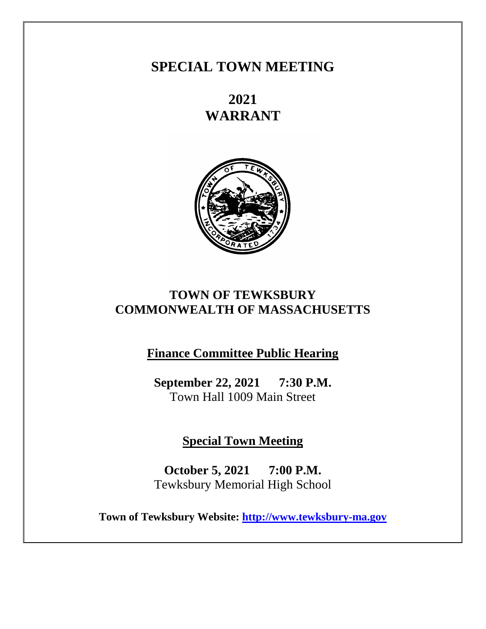# **SPECIAL TOWN MEETING**

**2021 WARRANT**



# **TOWN OF TEWKSBURY COMMONWEALTH OF MASSACHUSETTS**

**Finance Committee Public Hearing**

**September 22, 2021 7:30 P.M.** Town Hall 1009 Main Street

**Special Town Meeting**

**October 5, 2021 7:00 P.M.** Tewksbury Memorial High School

**Town of Tewksbury Website: [http://www.tewksbury-ma.gov](http://www.tewksbury-ma.gov/)**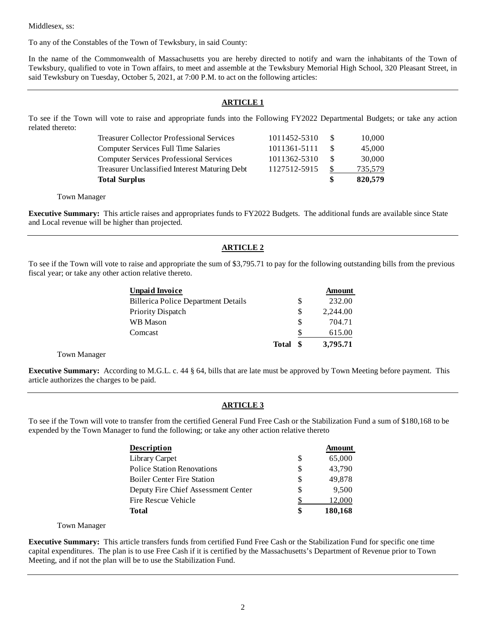Middlesex, ss:

To any of the Constables of the Town of Tewksbury, in said County:

In the name of the Commonwealth of Massachusetts you are hereby directed to notify and warn the inhabitants of the Town of Tewksbury, qualified to vote in Town affairs, to meet and assemble at the Tewksbury Memorial High School, 320 Pleasant Street, in said Tewksbury on Tuesday, October 5, 2021, at 7:00 P.M. to act on the following articles:

## **ARTICLE 1**

To see if the Town will vote to raise and appropriate funds into the Following FY2022 Departmental Budgets; or take any action related thereto:

| <b>Total Surplus</b>                             |              |     | 820,579 |
|--------------------------------------------------|--------------|-----|---------|
| Treasurer Unclassified Interest Maturing Debt    | 1127512-5915 |     | 735.579 |
| <b>Computer Services Professional Services</b>   | 1011362-5310 | S.  | 30,000  |
| Computer Services Full Time Salaries             | 1011361-5111 |     | 45,000  |
| <b>Treasurer Collector Professional Services</b> | 1011452-5310 | -SS | 10,000  |

#### Town Manager

**Executive Summary:** This article raises and appropriates funds to FY2022 Budgets. The additional funds are available since State and Local revenue will be higher than projected.

## **ARTICLE 2**

To see if the Town will vote to raise and appropriate the sum of \$3,795.71 to pay for the following outstanding bills from the previous fiscal year; or take any other action relative thereto.

| <b>Unpaid Invoice</b>                      |       |     | Amount   |
|--------------------------------------------|-------|-----|----------|
| <b>Billerica Police Department Details</b> |       | \$  | 232.00   |
| Priority Dispatch                          |       | S   | 2.244.00 |
| WB Mason                                   |       | S   | 704.71   |
| Comcast                                    |       | S   | 615.00   |
|                                            | Total | -SS | 3,795.71 |

Town Manager

**Executive Summary:** According to M.G.L. c. 44 § 64, bills that are late must be approved by Town Meeting before payment. This article authorizes the charges to be paid.

## **ARTICLE 3**

To see if the Town will vote to transfer from the certified General Fund Free Cash or the Stabilization Fund a sum of \$180,168 to be expended by the Town Manager to fund the following; or take any other action relative thereto

| <b>Description</b>                  |    | Amount  |
|-------------------------------------|----|---------|
| Library Carpet                      | \$ | 65,000  |
| <b>Police Station Renovations</b>   | \$ | 43,790  |
| <b>Boiler Center Fire Station</b>   | \$ | 49,878  |
| Deputy Fire Chief Assessment Center | \$ | 9,500   |
| Fire Rescue Vehicle                 |    | 12,000  |
| Total                               | S  | 180,168 |

#### Town Manager

**Executive Summary:** This article transfers funds from certified Fund Free Cash or the Stabilization Fund for specific one time capital expenditures. The plan is to use Free Cash if it is certified by the Massachusetts's Department of Revenue prior to Town Meeting, and if not the plan will be to use the Stabilization Fund.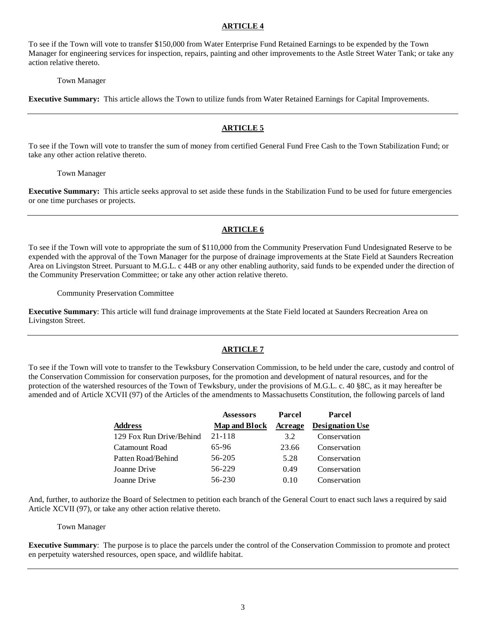To see if the Town will vote to transfer \$150,000 from Water Enterprise Fund Retained Earnings to be expended by the Town Manager for engineering services for inspection, repairs, painting and other improvements to the Astle Street Water Tank; or take any action relative thereto.

Town Manager

**Executive Summary:** This article allows the Town to utilize funds from Water Retained Earnings for Capital Improvements.

#### **ARTICLE 5**

To see if the Town will vote to transfer the sum of money from certified General Fund Free Cash to the Town Stabilization Fund; or take any other action relative thereto.

Town Manager

**Executive Summary:** This article seeks approval to set aside these funds in the Stabilization Fund to be used for future emergencies or one time purchases or projects.

#### **ARTICLE 6**

To see if the Town will vote to appropriate the sum of \$110,000 from the Community Preservation Fund Undesignated Reserve to be expended with the approval of the Town Manager for the purpose of drainage improvements at the State Field at Saunders Recreation Area on Livingston Street. Pursuant to M.G.L. c 44B or any other enabling authority, said funds to be expended under the direction of the Community Preservation Committee; or take any other action relative thereto.

Community Preservation Committee

**Executive Summary**: This article will fund drainage improvements at the State Field located at Saunders Recreation Area on Livingston Street.

## **ARTICLE 7**

To see if the Town will vote to transfer to the Tewksbury Conservation Commission, to be held under the care, custody and control of the Conservation Commission for conservation purposes, for the promotion and development of natural resources, and for the protection of the watershed resources of the Town of Tewksbury, under the provisions of M.G.L. c. 40 §8C, as it may hereafter be amended and of Article XCVII (97) of the Articles of the amendments to Massachusetts Constitution, the following parcels of land

|                          | <b>Assessors</b>     | Parcel  | Parcel                 |
|--------------------------|----------------------|---------|------------------------|
| <b>Address</b>           | <b>Map and Block</b> | Acreage | <b>Designation Use</b> |
| 129 Fox Run Drive/Behind | 21-118               | 3.2     | Conservation           |
| Catamount Road           | 65-96                | 23.66   | Conservation           |
| Patten Road/Behind       | 56-205               | 5.28    | Conservation           |
| Joanne Drive             | 56-229               | 0.49    | Conservation           |
| Joanne Drive             | 56-230               | 0.10    | Conservation           |

And, further, to authorize the Board of Selectmen to petition each branch of the General Court to enact such laws a required by said Article XCVII (97), or take any other action relative thereto.

#### Town Manager

**Executive Summary**: The purpose is to place the parcels under the control of the Conservation Commission to promote and protect en perpetuity watershed resources, open space, and wildlife habitat.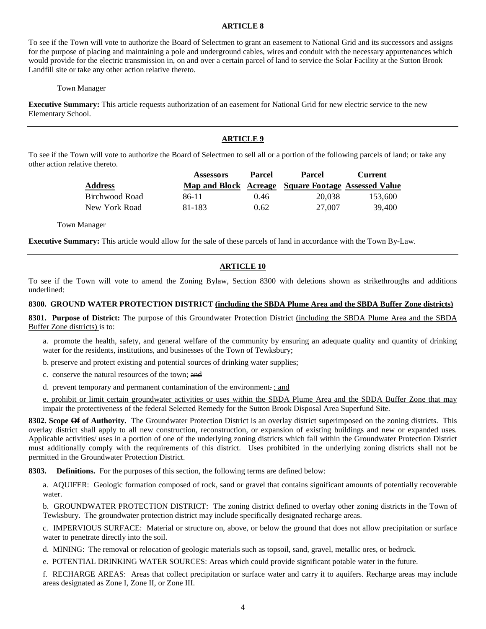To see if the Town will vote to authorize the Board of Selectmen to grant an easement to National Grid and its successors and assigns for the purpose of placing and maintaining a pole and underground cables, wires and conduit with the necessary appurtenances which would provide for the electric transmission in, on and over a certain parcel of land to service the Solar Facility at the Sutton Brook Landfill site or take any other action relative thereto.

#### Town Manager

**Executive Summary:** This article requests authorization of an easement for National Grid for new electric service to the new Elementary School.

#### **ARTICLE 9**

To see if the Town will vote to authorize the Board of Selectmen to sell all or a portion of the following parcels of land; or take any other action relative thereto.

|                | <b>Assessors</b> | Parcel | <b>Parcel</b>                                       | Current |
|----------------|------------------|--------|-----------------------------------------------------|---------|
| <b>Address</b> |                  |        | Map and Block Acreage Square Footage Assessed Value |         |
| Birchwood Road | 86-11            | 0.46   | 20,038                                              | 153.600 |
| New York Road  | 81-183           | 0.62   | 27,007                                              | 39,400  |

Town Manager

**Executive Summary:** This article would allow for the sale of these parcels of land in accordance with the Town By-Law.

## **ARTICLE 10**

To see if the Town will vote to amend the Zoning Bylaw, Section 8300 with deletions shown as strikethroughs and additions underlined:

#### **8300. GROUND WATER PROTECTION DISTRICT (including the SBDA Plume Area and the SBDA Buffer Zone districts)**

**8301. Purpose of District:** The purpose of this Groundwater Protection District (including the SBDA Plume Area and the SBDA Buffer Zone districts) is to:

- a. promote the health, safety, and general welfare of the community by ensuring an adequate quality and quantity of drinking water for the residents, institutions, and businesses of the Town of Tewksbury;
- b. preserve and protect existing and potential sources of drinking water supplies;
- c. conserve the natural resources of the town; and
- d. prevent temporary and permanent contamination of the environment. ; and

e. prohibit or limit certain groundwater activities or uses within the SBDA Plume Area and the SBDA Buffer Zone that may impair the protectiveness of the federal Selected Remedy for the Sutton Brook Disposal Area Superfund Site.

**8302. Scope Of of Authority.** The Groundwater Protection District is an overlay district superimposed on the zoning districts. This overlay district shall apply to all new construction, reconstruction, or expansion of existing buildings and new or expanded uses. Applicable activities/ uses in a portion of one of the underlying zoning districts which fall within the Groundwater Protection District must additionally comply with the requirements of this district. Uses prohibited in the underlying zoning districts shall not be permitted in the Groundwater Protection District.

**8303. Definitions.** For the purposes of this section, the following terms are defined below:

a. AQUIFER: Geologic formation composed of rock, sand or gravel that contains significant amounts of potentially recoverable water.

b. GROUNDWATER PROTECTION DISTRICT: The zoning district defined to overlay other zoning districts in the Town of Tewksbury. The groundwater protection district may include specifically designated recharge areas.

c. IMPERVIOUS SURFACE: Material or structure on, above, or below the ground that does not allow precipitation or surface water to penetrate directly into the soil.

d. MINING: The removal or relocation of geologic materials such as topsoil, sand, gravel, metallic ores, or bedrock.

e. POTENTIAL DRINKING WATER SOURCES: Areas which could provide significant potable water in the future.

f. RECHARGE AREAS: Areas that collect precipitation or surface water and carry it to aquifers. Recharge areas may include areas designated as Zone I, Zone II, or Zone III.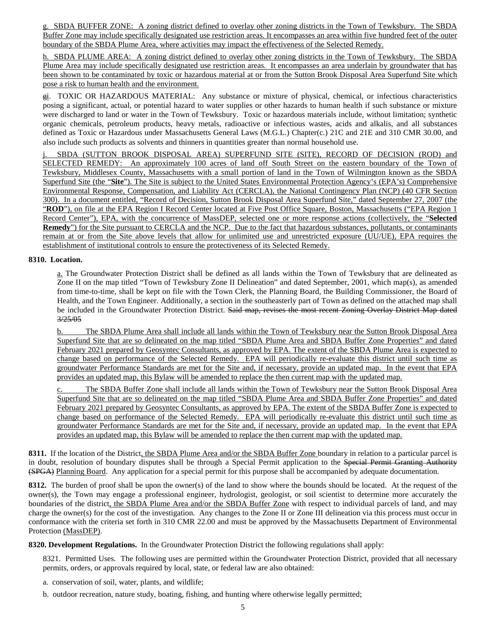g. SBDA BUFFER ZONE: A zoning district defined to overlay other zoning districts in the Town of Tewksbury. The SBDA Buffer Zone may include specifically designated use restriction areas. It encompasses an area within five hundred feet of the outer boundary of the SBDA Plume Area, where activities may impact the effectiveness of the Selected Remedy.

h. SBDA PLUME AREA: A zoning district defined to overlay other zoning districts in the Town of Tewksbury. The SBDA Plume Area may include specifically designated use restriction areas. It encompasses an area underlain by groundwater that has been shown to be contaminated by toxic or hazardous material at or from the Sutton Brook Disposal Area Superfund Site which pose a risk to human health and the environment.

gi. TOXIC OR HAZARDOUS MATERIAL: Any substance or mixture of physical, chemical, or infectious characteristics posing a significant, actual, or potential hazard to water supplies or other hazards to human health if such substance or mixture were discharged to land or water in the Town of Tewksbury. Toxic or hazardous materials include, without limitation; synthetic organic chemicals, petroleum products, heavy metals, radioactive or infectious wastes, acids and alkalis, and all substances defined as Toxic or Hazardous under Massachusetts General Laws (M.G.L.) Chapter(c.) 21C and 21E and 310 CMR 30.00, and also include such products as solvents and thinners in quantities greater than normal household use.

SBDA (SUTTON BROOK DISPOSAL AREA) SUPERFUND SITE (SITE), RECORD OF DECISION (ROD) and SELECTED REMEDY: An approximately 100 acres of land off South Street on the eastern boundary of the Town of Tewksbury, Middlesex County, Massachusetts with a small portion of land in the Town of Wilmington known as the SBDA Superfund Site (the "**Site**"). The Site is subject to the United States Environmental Protection Agency's (EPA's) Comprehensive Environmental Response, Compensation, and Liability Act (CERCLA), the National Contingency Plan (NCP) (40 CFR Section 300). In a document entitled, "Record of Decision, Sutton Brook Disposal Area Superfund Site," dated September 27, 2007 (the "**ROD**"), on file at the EPA Region I Record Center located at Five Post Office Square, Boston, Massachusetts ("EPA Region 1 Record Center"), EPA, with the concurrence of MassDEP, selected one or more response actions (collectively, the "**Selected Remedy**") for the Site pursuant to CERCLA and the NCP. Due to the fact that hazardous substances, pollutants, or contaminants remain at or from the Site above levels that allow for unlimited use and unrestricted exposure (UU/UE), EPA requires the establishment of institutional controls to ensure the protectiveness of its Selected Remedy.

## **8310. Location.**

a. The Groundwater Protection District shall be defined as all lands within the Town of Tewksbury that are delineated as Zone II on the map titled "Town of Tewksbury Zone II Delineation" and dated September, 2001, which map(s), as amended from time-to-time, shall be kept on file with the Town Clerk, the Planning Board, the Building Commissioner, the Board of Health, and the Town Engineer. Additionally, a section in the southeasterly part of Town as defined on the attached map shall be included in the Groundwater Protection District. Said map, revises the most recent Zoning Overlay District Map dated 3/25/05

b. The SBDA Plume Area shall include all lands within the Town of Tewksbury near the Sutton Brook Disposal Area Superfund Site that are so delineated on the map titled "SBDA Plume Area and SBDA Buffer Zone Properties" and dated February 2021 prepared by Geosyntec Consultants, as approved by EPA. The extent of the SBDA Plume Area is expected to change based on performance of the Selected Remedy. EPA will periodically re-evaluate this district until such time as groundwater Performance Standards are met for the Site and, if necessary, provide an updated map. In the event that EPA provides an updated map, this Bylaw will be amended to replace the then current map with the updated map.

The SBDA Buffer Zone shall include all lands within the Town of Tewksbury near the Sutton Brook Disposal Area Superfund Site that are so delineated on the map titled "SBDA Plume Area and SBDA Buffer Zone Properties" and dated February 2021 prepared by Geosyntec Consultants, as approved by EPA. The extent of the SBDA Buffer Zone is expected to change based on performance of the Selected Remedy. EPA will periodically re-evaluate this district until such time as groundwater Performance Standards are met for the Site and, if necessary, provide an updated map. In the event that EPA provides an updated map, this Bylaw will be amended to replace the then current map with the updated map.

**8311.** If the location of the District, the SBDA Plume Area and/or the SBDA Buffer Zone boundary in relation to a particular parcel is in doubt, resolution of boundary disputes shall be through a Special Permit application to the Special Permit Granting Authority (SPGA) Planning Board. Any application for a special permit for this purpose shall be accompanied by adequate documentation.

**8312.** The burden of proof shall be upon the owner(s) of the land to show where the bounds should be located. At the request of the owner(s), the Town may engage a professional engineer, hydrologist, geologist, or soil scientist to determine more accurately the boundaries of the district, the SBDA Plume Area and/or the SBDA Buffer Zone with respect to individual parcels of land, and may charge the owner(s) for the cost of the investigation. Any changes to the Zone II or Zone III delineation via this process must occur in conformance with the criteria set forth in 310 CMR 22.00 and must be approved by the Massachusetts Department of Environmental Protection (MassDEP).

**8320. Development Regulations.** In the Groundwater Protection District the following regulations shall apply:

8321. Permitted Uses. The following uses are permitted within the Groundwater Protection District, provided that all necessary permits, orders, or approvals required by local, state, or federal law are also obtained:

a. conservation of soil, water, plants, and wildlife;

b. outdoor recreation, nature study, boating, fishing, and hunting where otherwise legally permitted;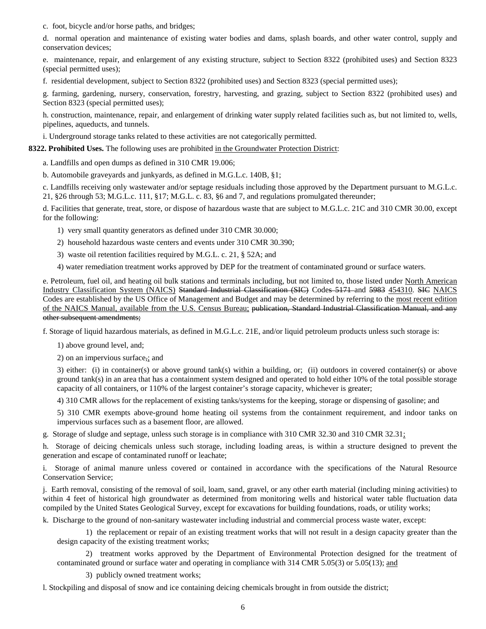c. foot, bicycle and/or horse paths, and bridges;

d. normal operation and maintenance of existing water bodies and dams, splash boards, and other water control, supply and conservation devices;

e. maintenance, repair, and enlargement of any existing structure, subject to Section 8322 (prohibited uses) and Section 8323 (special permitted uses);

f. residential development, subject to Section 8322 (prohibited uses) and Section 8323 (special permitted uses);

g. farming, gardening, nursery, conservation, forestry, harvesting, and grazing, subject to Section 8322 (prohibited uses) and Section 8323 (special permitted uses);

h. construction, maintenance, repair, and enlargement of drinking water supply related facilities such as, but not limited to, wells, pipelines, aqueducts, and tunnels.

i. Underground storage tanks related to these activities are not categorically permitted.

#### **8322. Prohibited Uses.** The following uses are prohibited in the Groundwater Protection District:

a. Landfills and open dumps as defined in 310 CMR 19.006;

b. Automobile graveyards and junkyards, as defined in M.G.L.c. 140B, §1;

c. Landfills receiving only wastewater and/or septage residuals including those approved by the Department pursuant to M.G.L.c. 21, §26 through 53; M.G.L.c. 111, §17; M.G.L. c. 83, §6 and 7, and regulations promulgated thereunder;

d. Facilities that generate, treat, store, or dispose of hazardous waste that are subject to M.G.L.c. 21C and 310 CMR 30.00, except for the following:

1) very small quantity generators as defined under 310 CMR 30.000;

2) household hazardous waste centers and events under 310 CMR 30.390;

3) waste oil retention facilities required by M.G.L. c. 21, § 52A; and

4) water remediation treatment works approved by DEP for the treatment of contaminated ground or surface waters.

e. Petroleum, fuel oil, and heating oil bulk stations and terminals including, but not limited to, those listed under North American Industry Classification System (NAICS) Standard Industrial Classification (SIC) Codes 5171 and 5983 454310. SIC NAICS Codes are established by the US Office of Management and Budget and may be determined by referring to the most recent edition of the NAICS Manual, available from the U.S. Census Bureau; publication, Standard Industrial Classification Manual, and any other subsequent amendments;

f. Storage of liquid hazardous materials, as defined in M.G.L.c. 21E, and/or liquid petroleum products unless such storage is:

1) above ground level, and;

2) on an impervious surface,; and

3) either: (i) in container(s) or above ground tank(s) within a building, or; (ii) outdoors in covered container(s) or above ground tank(s) in an area that has a containment system designed and operated to hold either 10% of the total possible storage capacity of all containers, or 110% of the largest container's storage capacity, whichever is greater;

4) 310 CMR allows for the replacement of existing tanks/systems for the keeping, storage or dispensing of gasoline; and

5) 310 CMR exempts above-ground home heating oil systems from the containment requirement, and indoor tanks on impervious surfaces such as a basement floor, are allowed.

g. Storage of sludge and septage, unless such storage is in compliance with 310 CMR 32.30 and 310 CMR 32.31;

h. Storage of deicing chemicals unless such storage, including loading areas, is within a structure designed to prevent the generation and escape of contaminated runoff or leachate;

i. Storage of animal manure unless covered or contained in accordance with the specifications of the Natural Resource Conservation Service;

j. Earth removal, consisting of the removal of soil, loam, sand, gravel, or any other earth material (including mining activities) to within 4 feet of historical high groundwater as determined from monitoring wells and historical water table fluctuation data compiled by the United States Geological Survey, except for excavations for building foundations, roads, or utility works;

k. Discharge to the ground of non-sanitary wastewater including industrial and commercial process waste water, except:

1) the replacement or repair of an existing treatment works that will not result in a design capacity greater than the design capacity of the existing treatment works;

2) treatment works approved by the Department of Environmental Protection designed for the treatment of contaminated ground or surface water and operating in compliance with 314 CMR 5.05(3) or 5.05(13); and

3) publicly owned treatment works;

l. Stockpiling and disposal of snow and ice containing deicing chemicals brought in from outside the district;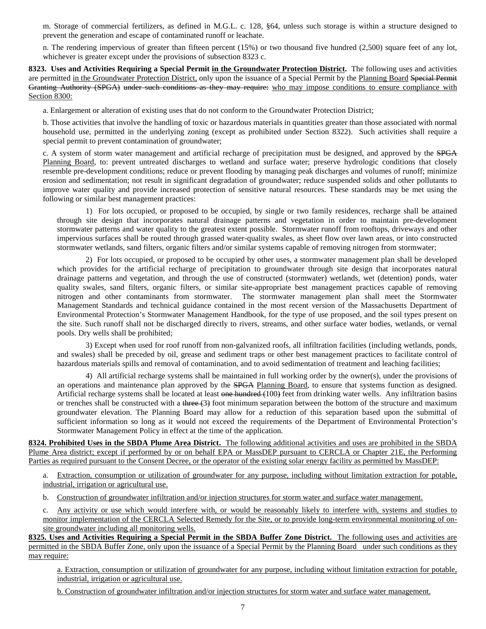m. Storage of commercial fertilizers, as defined in M.G.L. c. 128, §64, unless such storage is within a structure designed to prevent the generation and escape of contaminated runoff or leachate.

n. The rendering impervious of greater than fifteen percent (15%) or two thousand five hundred (2,500) square feet of any lot, whichever is greater except under the provisions of subsection 8323 c.

**8323. Uses and Activities Requiring a Special Permit in the Groundwater Protection District.** The following uses and activities are permitted in the Groundwater Protection District, only upon the issuance of a Special Permit by the Planning Board Special Permit Granting Authority (SPGA) under such conditions as they may require: who may impose conditions to ensure compliance with Section 8300:

a. Enlargement or alteration of existing uses that do not conform to the Groundwater Protection District;

b. Those activities that involve the handling of toxic or hazardous materials in quantities greater than those associated with normal household use, permitted in the underlying zoning (except as prohibited under Section 8322). Such activities shall require a special permit to prevent contamination of groundwater;

c. A system of storm water management and artificial recharge of precipitation must be designed, and approved by the SPGA Planning Board, to: prevent untreated discharges to wetland and surface water; preserve hydrologic conditions that closely resemble pre-development conditions; reduce or prevent flooding by managing peak discharges and volumes of runoff; minimize erosion and sedimentation; not result in significant degradation of groundwater; reduce suspended solids and other pollutants to improve water quality and provide increased protection of sensitive natural resources. These standards may be met using the following or similar best management practices:

1) For lots occupied, or proposed to be occupied, by single or two family residences, recharge shall be attained through site design that incorporates natural drainage patterns and vegetation in order to maintain pre-development stormwater patterns and water quality to the greatest extent possible. Stormwater runoff from rooftops, driveways and other impervious surfaces shall be routed through grassed water-quality swales, as sheet flow over lawn areas, or into constructed stormwater wetlands, sand filters, organic filters and/or similar systems capable of removing nitrogen from stormwater;

2) For lots occupied, or proposed to be occupied by other uses, a stormwater management plan shall be developed which provides for the artificial recharge of precipitation to groundwater through site design that incorporates natural drainage patterns and vegetation, and through the use of constructed (stormwater) wetlands, wet (detention) ponds, water quality swales, sand filters, organic filters, or similar site-appropriate best management practices capable of removing nitrogen and other contaminants from stormwater. The stormwater management plan shall meet the Stormwater Management Standards and technical guidance contained in the most recent version of the Massachusetts Department of Environmental Protection's Stormwater Management Handbook, for the type of use proposed, and the soil types present on the site. Such runoff shall not be discharged directly to rivers, streams, and other surface water bodies, wetlands, or vernal pools. Dry wells shall be prohibited;

3) Except when used for roof runoff from non-galvanized roofs, all infiltration facilities (including wetlands, ponds, and swales) shall be preceded by oil, grease and sediment traps or other best management practices to facilitate control of hazardous materials spills and removal of contamination, and to avoid sedimentation of treatment and leaching facilities;

4) All artificial recharge systems shall be maintained in full working order by the owner(s), under the provisions of an operations and maintenance plan approved by the SPGA Planning Board, to ensure that systems function as designed. Artificial recharge systems shall be located at least one hundred (100) feet from drinking water wells. Any infiltration basins or trenches shall be constructed with a three  $(3)$  foot minimum separation between the bottom of the structure and maximum groundwater elevation. The Planning Board may allow for a reduction of this separation based upon the submittal of sufficient information so long as it would not exceed the requirements of the Department of Environmental Protection's Stormwater Management Policy in effect at the time of the application.

**8324. Prohibited Uses in the SBDA Plume Area District.** The following additional activities and uses are prohibited in the SBDA Plume Area district; except if performed by or on behalf EPA or MassDEP pursuant to CERCLA or Chapter 21E, the Performing Parties as required pursuant to the Consent Decree, or the operator of the existing solar energy facility as permitted by MassDEP:

a. Extraction, consumption or utilization of groundwater for any purpose, including without limitation extraction for potable, industrial, irrigation or agricultural use.

b. Construction of groundwater infiltration and/or injection structures for storm water and surface water management.

c. Any activity or use which would interfere with, or would be reasonably likely to interfere with, systems and studies to monitor implementation of the CERCLA Selected Remedy for the Site, or to provide long-term environmental monitoring of onsite groundwater including all monitoring wells.

**8325. Uses and Activities Requiring a Special Permit in the SBDA Buffer Zone District.** The following uses and activities are permitted in the SBDA Buffer Zone, only upon the issuance of a Special Permit by the Planning Board under such conditions as they may require:

a. Extraction, consumption or utilization of groundwater for any purpose, including without limitation extraction for potable, industrial, irrigation or agricultural use.

b. Construction of groundwater infiltration and/or injection structures for storm water and surface water management.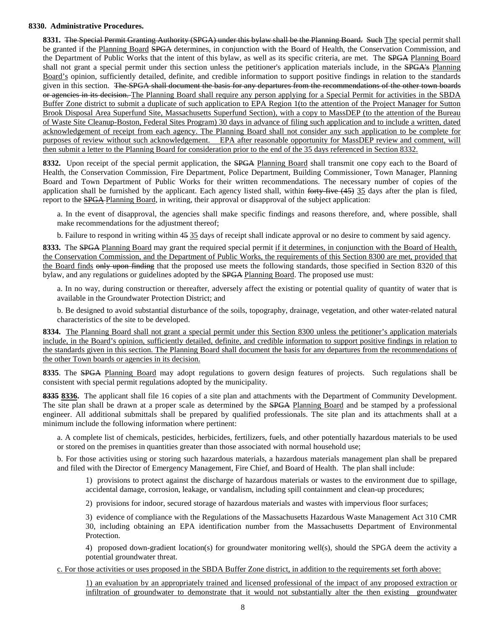#### **8330. Administrative Procedures.**

**8331.** The Special Permit Granting Authority (SPGA) under this bylaw shall be the Planning Board. Such The special permit shall be granted if the Planning Board SPGA determines, in conjunction with the Board of Health, the Conservation Commission, and the Department of Public Works that the intent of this bylaw, as well as its specific criteria, are met. The SPGA Planning Board shall not grant a special permit under this section unless the petitioner's application materials include, in the SPGA's Planning Board's opinion, sufficiently detailed, definite, and credible information to support positive findings in relation to the standards given in this section. The SPGA shall document the basis for any departures from the recommendations of the other town boards or agencies in its decision. The Planning Board shall require any person applying for a Special Permit for activities in the SBDA Buffer Zone district to submit a duplicate of such application to EPA Region 1(to the attention of the Project Manager for Sutton Brook Disposal Area Superfund Site, Massachusetts Superfund Section), with a copy to MassDEP (to the attention of the Bureau of Waste Site Cleanup-Boston, Federal Sites Program) 30 days in advance of filing such application and to include a written, dated acknowledgement of receipt from each agency. The Planning Board shall not consider any such application to be complete for purposes of review without such acknowledgement. EPA after reasonable opportunity for MassDEP review and comment, will then submit a letter to the Planning Board for consideration prior to the end of the 35 days referenced in Section 8332.

**8332.** Upon receipt of the special permit application, the SPGA Planning Board shall transmit one copy each to the Board of Health, the Conservation Commission, Fire Department, Police Department, Building Commissioner, Town Manager, Planning Board and Town Department of Public Works for their written recommendations. The necessary number of copies of the application shall be furnished by the applicant. Each agency listed shall, within forty-five  $(45)$  35 days after the plan is filed, report to the **SPGA** Planning Board, in writing, their approval or disapproval of the subject application:

a. In the event of disapproval, the agencies shall make specific findings and reasons therefore, and, where possible, shall make recommendations for the adjustment thereof;

b. Failure to respond in writing within 45 35 days of receipt shall indicate approval or no desire to comment by said agency.

**8333.** The SPGA Planning Board may grant the required special permit if it determines, in conjunction with the Board of Health, the Conservation Commission, and the Department of Public Works, the requirements of this Section 8300 are met, provided that the Board finds only upon finding that the proposed use meets the following standards, those specified in Section 8320 of this bylaw, and any regulations or guidelines adopted by the SPGA Planning Board. The proposed use must:

a. In no way, during construction or thereafter, adversely affect the existing or potential quality of quantity of water that is available in the Groundwater Protection District; and

b. Be designed to avoid substantial disturbance of the soils, topography, drainage, vegetation, and other water-related natural characteristics of the site to be developed.

**8334.** The Planning Board shall not grant a special permit under this Section 8300 unless the petitioner's application materials include, in the Board's opinion, sufficiently detailed, definite, and credible information to support positive findings in relation to the standards given in this section. The Planning Board shall document the basis for any departures from the recommendations of the other Town boards or agencies in its decision.

**8335**. The SPGA Planning Board may adopt regulations to govern design features of projects. Such regulations shall be consistent with special permit regulations adopted by the municipality.

**8335 8336.** The applicant shall file 16 copies of a site plan and attachments with the Department of Community Development. The site plan shall be drawn at a proper scale as determined by the SPGA Planning Board and be stamped by a professional engineer. All additional submittals shall be prepared by qualified professionals. The site plan and its attachments shall at a minimum include the following information where pertinent:

a. A complete list of chemicals, pesticides, herbicides, fertilizers, fuels, and other potentially hazardous materials to be used or stored on the premises in quantities greater than those associated with normal household use;

b. For those activities using or storing such hazardous materials, a hazardous materials management plan shall be prepared and filed with the Director of Emergency Management, Fire Chief, and Board of Health. The plan shall include:

1) provisions to protect against the discharge of hazardous materials or wastes to the environment due to spillage, accidental damage, corrosion, leakage, or vandalism, including spill containment and clean-up procedures;

2) provisions for indoor, secured storage of hazardous materials and wastes with impervious floor surfaces;

3) evidence of compliance with the Regulations of the Massachusetts Hazardous Waste Management Act 310 CMR 30, including obtaining an EPA identification number from the Massachusetts Department of Environmental **Protection** 

4) proposed down-gradient location(s) for groundwater monitoring well(s), should the SPGA deem the activity a potential groundwater threat.

c. For those activities or uses proposed in the SBDA Buffer Zone district, in addition to the requirements set forth above:

1) an evaluation by an appropriately trained and licensed professional of the impact of any proposed extraction or infiltration of groundwater to demonstrate that it would not substantially alter the then existing groundwater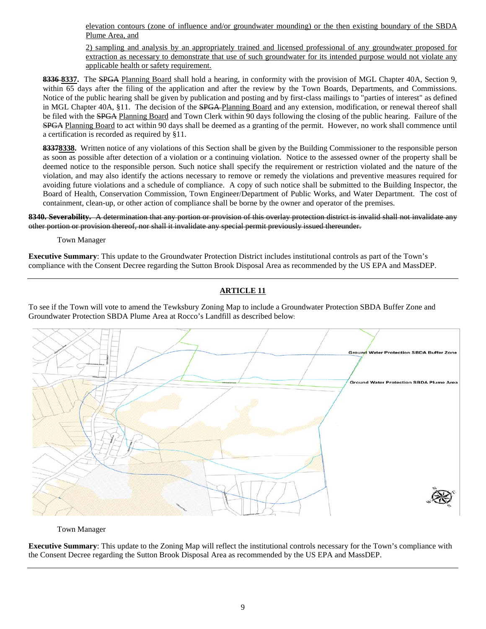elevation contours (zone of influence and/or groundwater mounding) or the then existing boundary of the SBDA Plume Area, and

2) sampling and analysis by an appropriately trained and licensed professional of any groundwater proposed for extraction as necessary to demonstrate that use of such groundwater for its intended purpose would not violate any applicable health or safety requirement.

**8336 8337.** The SPGA Planning Board shall hold a hearing, in conformity with the provision of MGL Chapter 40A, Section 9, within 65 days after the filing of the application and after the review by the Town Boards, Departments, and Commissions. Notice of the public hearing shall be given by publication and posting and by first-class mailings to "parties of interest" as defined in MGL Chapter 40A, §11. The decision of the SPGA Planning Board and any extension, modification, or renewal thereof shall be filed with the SPGA Planning Board and Town Clerk within 90 days following the closing of the public hearing. Failure of the SPGA Planning Board to act within 90 days shall be deemed as a granting of the permit. However, no work shall commence until a certification is recorded as required by §11.

83378338. Written notice of any violations of this Section shall be given by the Building Commissioner to the responsible person as soon as possible after detection of a violation or a continuing violation. Notice to the assessed owner of the property shall be deemed notice to the responsible person. Such notice shall specify the requirement or restriction violated and the nature of the violation, and may also identify the actions necessary to remove or remedy the violations and preventive measures required for avoiding future violations and a schedule of compliance. A copy of such notice shall be submitted to the Building Inspector, the Board of Health, Conservation Commission, Town Engineer/Department of Public Works, and Water Department. The cost of containment, clean-up, or other action of compliance shall be borne by the owner and operator of the premises.

#### **8340. Severability.** A determination that any portion or provision of this overlay protection district is invalid shall not invalidate any other portion or provision thereof, nor shall it invalidate any special permit previously issued thereunder.

Town Manager

**Executive Summary**: This update to the Groundwater Protection District includes institutional controls as part of the Town's compliance with the Consent Decree regarding the Sutton Brook Disposal Area as recommended by the US EPA and MassDEP.

# **ARTICLE 11**

To see if the Town will vote to amend the Tewksbury Zoning Map to include a Groundwater Protection SBDA Buffer Zone and Groundwater Protection SBDA Plume Area at Rocco's Landfill as described below:



Town Manager

**Executive Summary**: This update to the Zoning Map will reflect the institutional controls necessary for the Town's compliance with the Consent Decree regarding the Sutton Brook Disposal Area as recommended by the US EPA and MassDEP.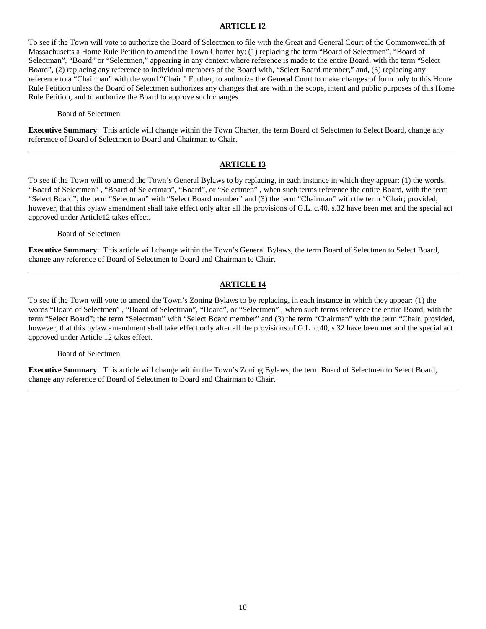To see if the Town will vote to authorize the Board of Selectmen to file with the Great and General Court of the Commonwealth of Massachusetts a Home Rule Petition to amend the Town Charter by: (1) replacing the term "Board of Selectmen", "Board of Selectman", "Board" or "Selectmen," appearing in any context where reference is made to the entire Board, with the term "Select Board", (2) replacing any reference to individual members of the Board with, "Select Board member," and, (3) replacing any reference to a "Chairman" with the word "Chair." Further, to authorize the General Court to make changes of form only to this Home Rule Petition unless the Board of Selectmen authorizes any changes that are within the scope, intent and public purposes of this Home Rule Petition, and to authorize the Board to approve such changes.

Board of Selectmen

**Executive Summary**: This article will change within the Town Charter, the term Board of Selectmen to Select Board, change any reference of Board of Selectmen to Board and Chairman to Chair.

## **ARTICLE 13**

To see if the Town will to amend the Town's General Bylaws to by replacing, in each instance in which they appear: (1) the words "Board of Selectmen" , "Board of Selectman", "Board", or "Selectmen" , when such terms reference the entire Board, with the term "Select Board"; the term "Selectman" with "Select Board member" and (3) the term "Chairman" with the term "Chair; provided, however, that this bylaw amendment shall take effect only after all the provisions of G.L. c.40, s.32 have been met and the special act approved under Article12 takes effect.

Board of Selectmen

**Executive Summary**: This article will change within the Town's General Bylaws, the term Board of Selectmen to Select Board, change any reference of Board of Selectmen to Board and Chairman to Chair.

## **ARTICLE 14**

To see if the Town will vote to amend the Town's Zoning Bylaws to by replacing, in each instance in which they appear: (1) the words "Board of Selectmen", "Board of Selectman", "Board", or "Selectmen", when such terms reference the entire Board, with the term "Select Board"; the term "Selectman" with "Select Board member" and (3) the term "Chairman" with the term "Chair; provided, however, that this bylaw amendment shall take effect only after all the provisions of G.L. c.40, s.32 have been met and the special act approved under Article 12 takes effect.

Board of Selectmen

**Executive Summary**: This article will change within the Town's Zoning Bylaws, the term Board of Selectmen to Select Board, change any reference of Board of Selectmen to Board and Chairman to Chair.